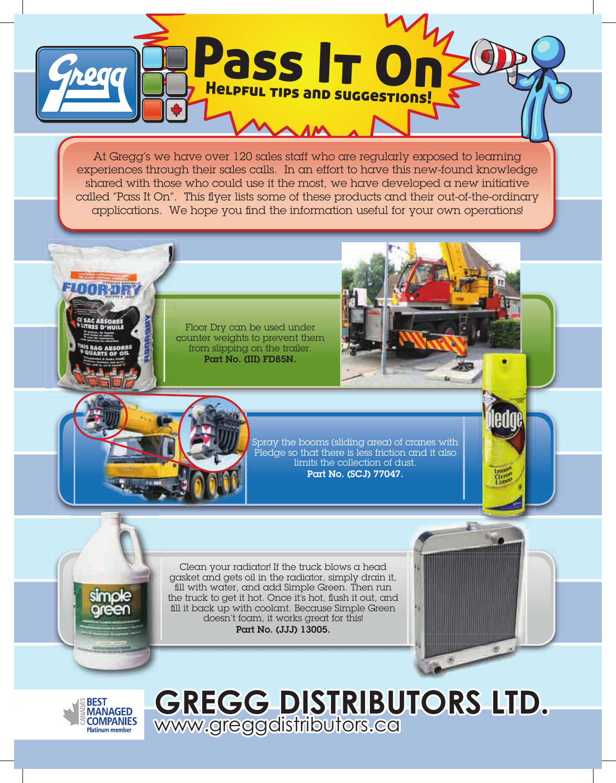

At Gregg's we have over 120 sales staff who are regularly exposed to learning experiences through their sales calls. In an effort to have this new-found knowledge shared with those who could use it the most, we have developed  $\alpha$  new initiative called "Pass It On". This flyer lists some of these products and their out-of-the-ordinary applications. We hope you find the information useful for your own operations!

Floor Dry can be used under counter weights to prevent them from slipping on the trailer. Part No. (III) FD85N.



**STR** 



Spray the booms (sliding area) of cranes with Pledge so that there is less friction and it also limits the collection of dust. Part No. (SCJ) 77047.

Clean your radiator! If the truck blows a head gasket and gets oil in the radiator, simply drain it, fill with water, and add Simple Green. Then run the truck to get it hot. Once it's hot, flush it out, and fill it back up with coolant. Because Simple Green doesn't foam, it works great for this! Part No. (JJJ) 13005.



**GREGG DISTRIBUTORS LTD.**  www.greggdistributors.ca